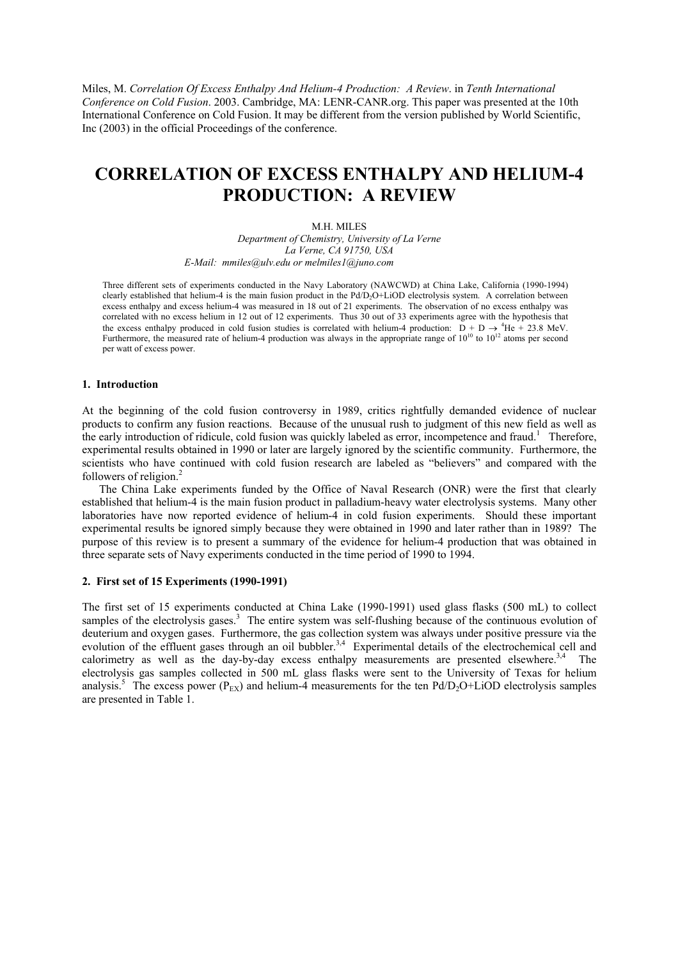Miles, M. *Correlation Of Excess Enthalpy And Helium-4 Production: A Review*. in *Tenth International Conference on Cold Fusion*. 2003. Cambridge, MA: LENR-CANR.org. This paper was presented at the 10th International Conference on Cold Fusion. It may be different from the version published by World Scientific, Inc (2003) in the official Proceedings of the conference.

# **CORRELATION OF EXCESS ENTHALPY AND HELIUM-4 PRODUCTION: A REVIEW**

M.H. MILES

*Department of Chemistry, University of La Verne La Verne, CA 91750, USA E-Mail: [mmiles@ulv.edu](mailto:mmiles@ulv.edu) or melmiles1@juno.com* 

Three different sets of experiments conducted in the Navy Laboratory (NAWCWD) at China Lake, California (1990-1994) clearly established that helium-4 is the main fusion product in the Pd/D<sub>2</sub>O+LiOD electrolysis system. A correlation between excess enthalpy and excess helium-4 was measured in 18 out of 21 experiments. The observation of no excess enthalpy was correlated with no excess helium in 12 out of 12 experiments. Thus 30 out of 33 experiments agree with the hypothesis that the excess enthalpy produced in cold fusion studies is correlated with helium-4 production:  $D + D \rightarrow {}^{4}He + 23.8$  MeV. Furthermore, the measured rate of helium-4 production was always in the appropriate range of  $10^{10}$  to  $10^{12}$  atoms per second per watt of excess power.

# **1. Introduction**

At the beginning of the cold fusion controversy in 1989, critics rightfully demanded evidence of nuclear products to confirm any fusion reactions. Because of the unusual rush to judgment of this new field as well as the early introduction of ridicule, cold fusion was quickly labeled as error, incompetence and fraud.<sup>1</sup> Therefore, experimental results obtained in 1990 or later are largely ignored by the scientific community. Furthermore, the scientists who have continued with cold fusion research are labeled as "believers" and compared with the followers of religion.<sup>2</sup>

 The China Lake experiments funded by the Office of Naval Research (ONR) were the first that clearly established that helium-4 is the main fusion product in palladium-heavy water electrolysis systems. Many other laboratories have now reported evidence of helium-4 in cold fusion experiments. Should these important experimental results be ignored simply because they were obtained in 1990 and later rather than in 1989? The purpose of this review is to present a summary of the evidence for helium-4 production that was obtained in three separate sets of Navy experiments conducted in the time period of 1990 to 1994.

# **2. First set of 15 Experiments (1990-1991)**

The first set of 15 experiments conducted at China Lake (1990-1991) used glass flasks (500 mL) to collect samples of the electrolysis gases.<sup>3</sup> The entire system was self-flushing because of the continuous evolution of deuterium and oxygen gases. Furthermore, the gas collection system was always under positive pressure via the evolution of the effluent gases through an oil bubbler.<sup>3,4</sup> Experimental details of the electrochemical cell and evolution of the effluent gases through an oil bubbler.<sup>3,4</sup> calorimetry as well as the day-by-day excess enthalpy measurements are presented elsewhere.<sup>3,4</sup> The electrolysis gas samples collected in 500 mL glass flasks were sent to the University of Texas for helium analysis.<sup>5</sup> The excess power ( $P_{EX}$ ) and helium-4 measurements for the ten Pd/D<sub>2</sub>O+LiOD electrolysis samples are presented in Table 1.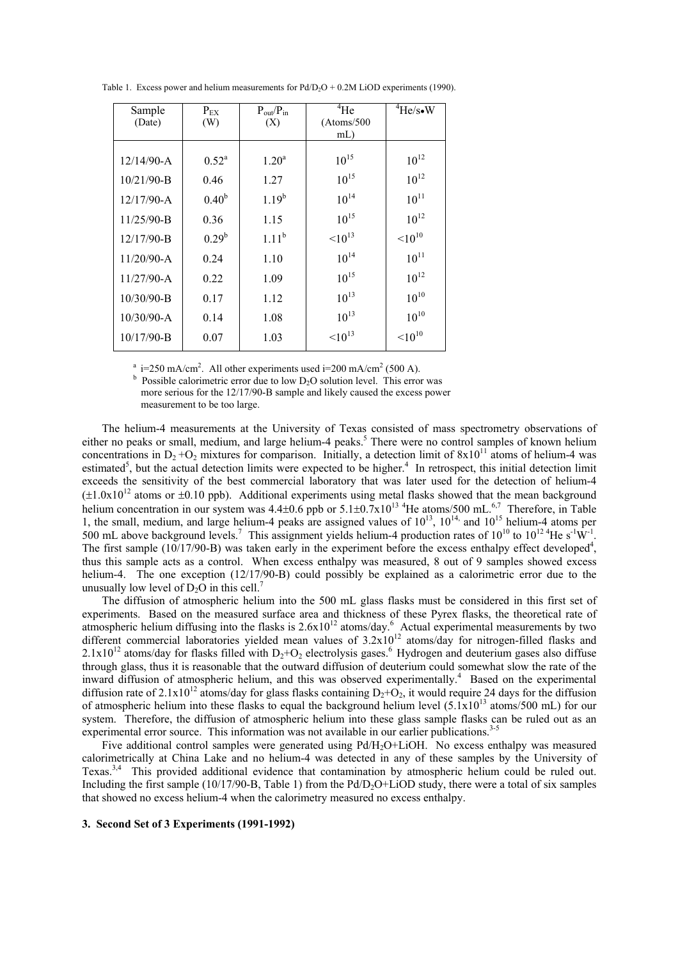| Table 1. Excess power and helium measurements for $Pd/D_2O + 0.2M$ LiOD experiments (1990). |  |
|---------------------------------------------------------------------------------------------|--|
|---------------------------------------------------------------------------------------------|--|

| Sample         | $P_{EX}$       | $P_{out}/P_{in}$ | $\overline{A}_{\text{He}}$ | $\mathrm{^4He/s}$ W |
|----------------|----------------|------------------|----------------------------|---------------------|
| (Date)         | (W)            | (X)              | (Atoms/500                 |                     |
|                |                |                  | $mL$ )                     |                     |
|                |                |                  |                            |                     |
| $12/14/90 - A$ | $0.52^{\rm a}$ | $1.20^a$         | $10^{15}$                  | $10^{12}$           |
| $10/21/90 - B$ | 0.46           | 1.27             | $10^{15}$                  | $10^{12}$           |
| $12/17/90 - A$ | $0.40^{b}$     | $1.19^{b}$       | $10^{14}$                  | $10^{11}$           |
| 11/25/90-B     | 0.36           | 1.15             | $10^{15}$                  | $10^{12}$           |
| $12/17/90 - B$ | $0.29^{b}$     | $1.11^{b}$       | $10^{13}$                  | $10^{10}$           |
| $11/20/90-A$   | 0.24           | 1.10             | $10^{14}$                  | $10^{11}$           |
| 11/27/90-A     | 0.22           | 1.09             | $10^{15}$                  | $10^{12}$           |
| 10/30/90-B     | 0.17           | 1.12             | $10^{13}$                  | $10^{10}$           |
| 10/30/90-A     | 0.14           | 1.08             | $10^{13}$                  | $10^{10}$           |
| 10/17/90-B     | 0.07           | 1.03             | $10^{13}$                  | $110^{10}$          |

<sup>a</sup> i=250 mA/cm<sup>2</sup>. All other experiments used i=200 mA/cm<sup>2</sup>

 $\overrightarrow{b}$  Possible calorimetric error due to low D<sub>2</sub>O solution level. This error was more serious for the 12/17/90-B sample and likely caused the excess power measurement to be too large.

 The helium-4 measurements at the University of Texas consisted of mass spectrometry observations of either no peaks or small, medium, and large helium-4 peaks.<sup>5</sup> There were no control samples of known helium concentrations in  $D_2 + O_2$  mixtures for comparison. Initially, a detection limit of  $8x10^{11}$  atoms of helium-4 was estimated<sup>5</sup>, but the actual detection limits were expected to be higher.<sup>4</sup> In retrospect, this initial detection limit exceeds the sensitivity of the best commercial laboratory that was later used for the detection of helium-4  $(\pm 1.0x10^{12}$  atoms or  $\pm 0.10$  ppb). Additional experiments using metal flasks showed that the mean background helium concentration in our system was  $4.4\pm0.6$  ppb or  $5.1\pm0.7\times10^{13}$  <sup>4</sup>He atoms/500 mL.<sup>6,7</sup> Therefore, in Table 1, the small, medium, and large helium-4 peaks are assigned values of  $10^{13}$ ,  $10^{14}$ , and  $10^{15}$  helium-4 atoms per 500 mL above background levels.<sup>7</sup> This assignment yields helium-4 production rates of  $10^{10}$  to  $10^{12}$ <sup>4</sup>He s<sup>-1</sup>W<sup>-1</sup>. The first sample  $(10/17/90-B)$  was taken early in the experiment before the excess enthalpy effect developed<sup>4</sup>, thus this sample acts as a control. When excess enthalpy was measured, 8 out of 9 samples showed excess helium-4. The one exception  $(12/17/90-B)$  could possibly be explained as a calorimetric error due to the unusually low level of  $D_2O$  in this cell.<sup>7</sup>

 The diffusion of atmospheric helium into the 500 mL glass flasks must be considered in this first set of experiments. Based on the measured surface area and thickness of these Pyrex flasks, the theoretical rate of atmospheric helium diffusing into the flasks is  $2.6x10^{12}$  atoms/day.<sup>6</sup> Actual experimental measurements by two different commercial laboratories yielded mean values of  $3.2x10^{12}$  atoms/day for nitrogen-filled flasks and  $2.1 \times 10^{12}$  atoms/day for flasks filled with D<sub>2</sub>+O<sub>2</sub> electrolysis gases.<sup>6</sup> Hydrogen and deuterium gases also diffuse through glass, thus it is reasonable that the outward diffusion of deuterium could somewhat slow the rate of the inward diffusion of atmospheric helium, and this was observed experimentally.<sup>4</sup> Based on the experimental diffusion rate of 2.1x10<sup>12</sup> atoms/day for glass flasks containing  $D_2+O_2$ , it would require 24 days for the diffusion of atmospheric helium into these flasks to equal the background helium level  $(5.1x10^{13}$  atoms/500 mL) for our system. Therefore, the diffusion of atmospheric helium into these glass sample flasks can be ruled out as an experimental error source. This information was not available in our earlier publications.<sup>3-5</sup>

Five additional control samples were generated using Pd/H<sub>2</sub>O+LiOH. No excess enthalpy was measured calorimetrically at China Lake and no helium-4 was detected in any of these samples by the University of Texas.<sup>3,4</sup> This provided additional evidence that contamination by atmospheric helium could be ruled out. Including the first sample (10/17/90-B, Table 1) from the Pd/D<sub>2</sub>O+LiOD study, there were a total of six samples that showed no excess helium-4 when the calorimetry measured no excess enthalpy.

### **3. Second Set of 3 Experiments (1991-1992)**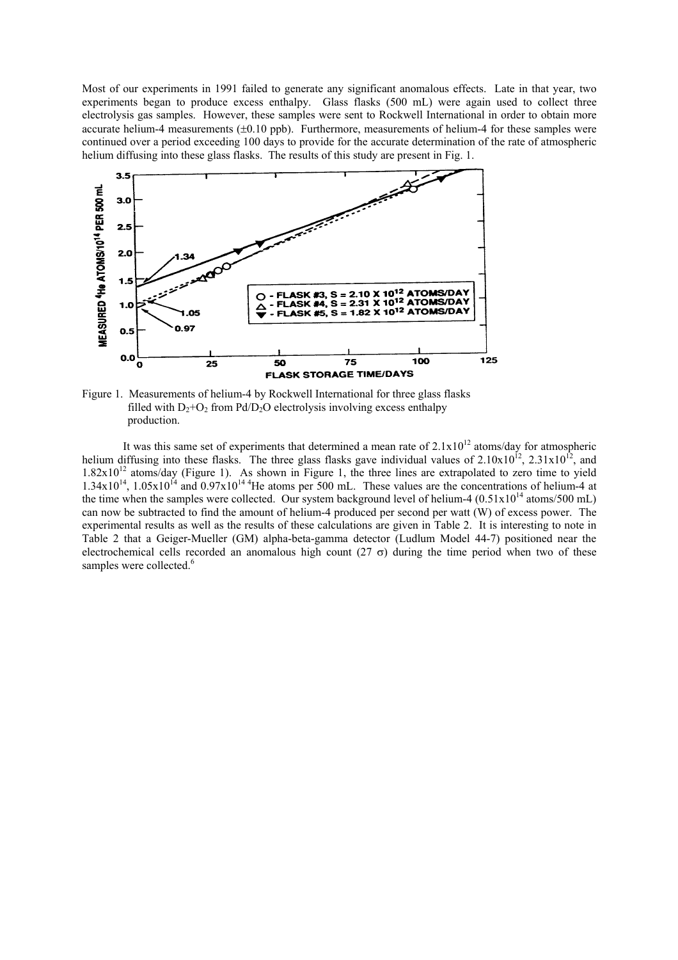Most of our experiments in 1991 failed to generate any significant anomalous effects. Late in that year, two experiments began to produce excess enthalpy. Glass flasks (500 mL) were again used to collect three electrolysis gas samples. However, these samples were sent to Rockwell International in order to obtain more accurate helium-4 measurements (±0.10 ppb). Furthermore, measurements of helium-4 for these samples were continued over a period exceeding 100 days to provide for the accurate determination of the rate of atmospheric helium diffusing into these glass flasks. The results of this study are present in Fig. 1.



Figure 1. Measurements of helium-4 by Rockwell International for three glass flasks filled with  $D_2+O_2$  from Pd/D<sub>2</sub>O electrolysis involving excess enthalpy production.

It was this same set of experiments that determined a mean rate of  $2.1x10^{12}$  atoms/day for atmospheric helium diffusing into these flasks. The three glass flasks gave individual values of  $2.10 \times 10^{12}$ ,  $2.31 \times 10^{12}$ , and  $1.82 \times 10^{12}$  atoms/day (Figure 1). As shown in Figure 1, the three lines are extrapolated to zero time to yield  $1.34\times10^{14}$ ,  $1.05\times10^{14}$  and  $0.97\times10^{14}$  He atoms per 500 mL. These values are the concentrations of helium-4 at the time when the samples were collected. Our system background level of helium-4  $(0.51 \times 10^{14} \text{ atoms}/500 \text{ mL})$ can now be subtracted to find the amount of helium-4 produced per second per watt (W) of excess power. The experimental results as well as the results of these calculations are given in Table 2. It is interesting to note in Table 2 that a Geiger-Mueller (GM) alpha-beta-gamma detector (Ludlum Model 44-7) positioned near the electrochemical cells recorded an anomalous high count (27  $\sigma$ ) during the time period when two of these samples were collected.<sup>6</sup>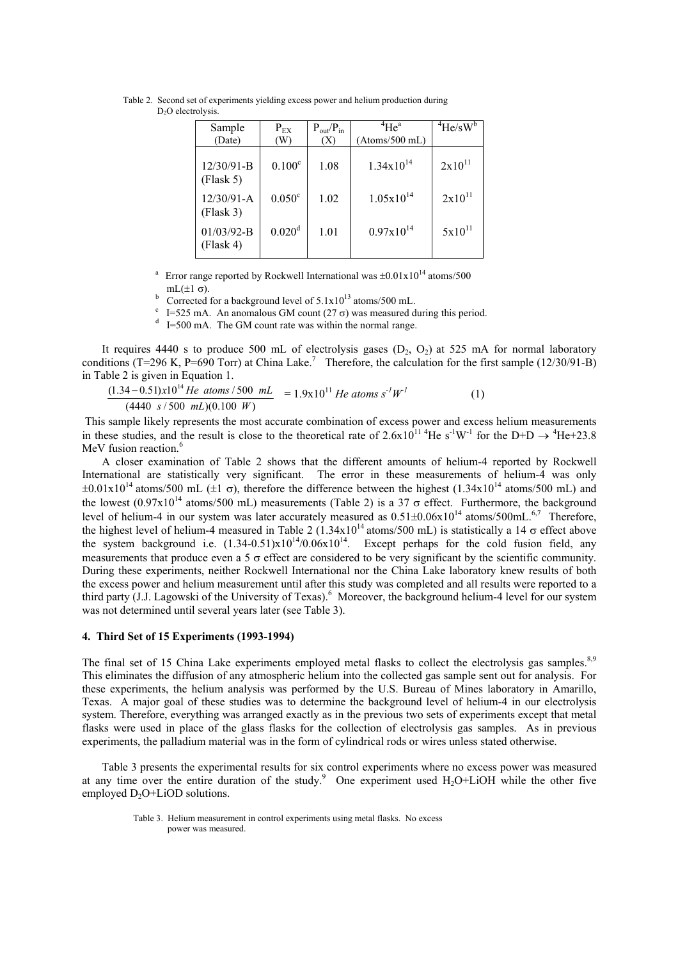| Sample                      | $P_{EX}$           | $P_{out}/P_{in}$ | $^{4}$ He <sup>a</sup> | $\mathrm{^4He/sW^b}$ |
|-----------------------------|--------------------|------------------|------------------------|----------------------|
| (Date)                      | (W)                | (X)              | $(Atoms/500$ mL)       |                      |
| $12/30/91 - B$<br>(Flask 5) | $0.100^{\circ}$    | 1.08             | $1.34 \times 10^{14}$  | $2x10^{11}$          |
| $12/30/91-A$<br>(Flask 3)   | 0.050 <sup>c</sup> | 1.02             | $1.05x10^{14}$         | $2x10^{11}$          |
| $01/03/92 - B$<br>(Flask 4) | 0.020 <sup>d</sup> | 1.01             | $0.97x10^{14}$         | $5x10^{11}$          |

Table 2. Second set of experiments yielding excess power and helium production during D<sub>2</sub>O electrolysis.

<sup>a</sup> Error range reported by Rockwell International was  $\pm 0.01 \times 10^{14}$  atoms/500

mL( $\pm 1$  σ).<br>b Corrected for a background level of 5.1x10<sup>13</sup> atoms/500 mL.<br>c I=525 mA. An anomalous GM count (27 σ) was measured during this period.<br>d I=500 mA. The GM count rate was within the normal range.

It requires 4440 s to produce 500 mL of electrolysis gases  $(D_2, O_2)$  at 525 mA for normal laboratory conditions (T=296 K, P=690 Torr) at China Lake.<sup>7</sup> Therefore, the calculation for the first sample (12/30/91-B) in Table 2 is given in Equation 1.

$$
\frac{(1.34 - 0.51)x10^{14} \text{ He atoms} / 500 \text{ mL}}{(4440 \text{ s} / 500 \text{ mL})(0.100 \text{ W})} = 1.9x10^{11} \text{ He atoms s}^{-1}W^{-1}
$$
 (1)

This sample likely represents the most accurate combination of excess power and excess helium measurements in these studies, and the result is close to the theoretical rate of  $2.6x10^{11}$  <sup>4</sup>He s<sup>-1</sup>W<sup>-1</sup> for the D+D  $\rightarrow$  <sup>4</sup>He+23.8 MeV fusion reaction.<sup>6</sup>

A closer examination of Table 2 shows that the different amounts of helium-4 reported by Rockwell International are statistically very significant. The error in these measurements of helium-4 was only  $\pm 0.01 \times 10^{14}$  atoms/500 mL ( $\pm 1$  σ), therefore the difference between the highest (1.34x10<sup>14</sup> atoms/500 mL) and the lowest  $(0.97 \times 10^{14} \text{ atoms}/500 \text{ mL})$  measurements (Table 2) is a 37  $\sigma$  effect. Furthermore, the background level of helium-4 in our system was later accurately measured as  $0.51\pm0.06\times10^{14}$  atoms/500mL.<sup>6,7</sup> Therefore, the highest level of helium-4 measured in Table 2 (1.34x10<sup>14</sup> atoms/500 mL) is statistically a 14  $\sigma$  effect above the system background i.e.  $(1.34-0.51)x10^{14}/0.06x10^{14}$ . Except perhaps for the cold fusion field, any measurements that produce even a 5 σ effect are considered to be very significant by the scientific community. During these experiments, neither Rockwell International nor the China Lake laboratory knew results of both the excess power and helium measurement until after this study was completed and all results were reported to a third party (J.J. Lagowski of the University of Texas). 6 Moreover, the background helium-4 level for our system was not determined until several years later (see Table 3).

## **4. Third Set of 15 Experiments (1993-1994)**

The final set of 15 China Lake experiments employed metal flasks to collect the electrolysis gas samples.<sup>8,9</sup> This eliminates the diffusion of any atmospheric helium into the collected gas sample sent out for analysis. For these experiments, the helium analysis was performed by the U.S. Bureau of Mines laboratory in Amarillo, Texas. A major goal of these studies was to determine the background level of helium-4 in our electrolysis system. Therefore, everything was arranged exactly as in the previous two sets of experiments except that metal flasks were used in place of the glass flasks for the collection of electrolysis gas samples. As in previous experiments, the palladium material was in the form of cylindrical rods or wires unless stated otherwise.

Table 3 presents the experimental results for six control experiments where no excess power was measured at any time over the entire duration of the study.<sup>9</sup> One experiment used  $H_2O+LiOH$  while the other five employed  $D_2O+LiOD$  solutions.

Table 3. Helium measurement in control experiments using metal flasks. No excess power was measured.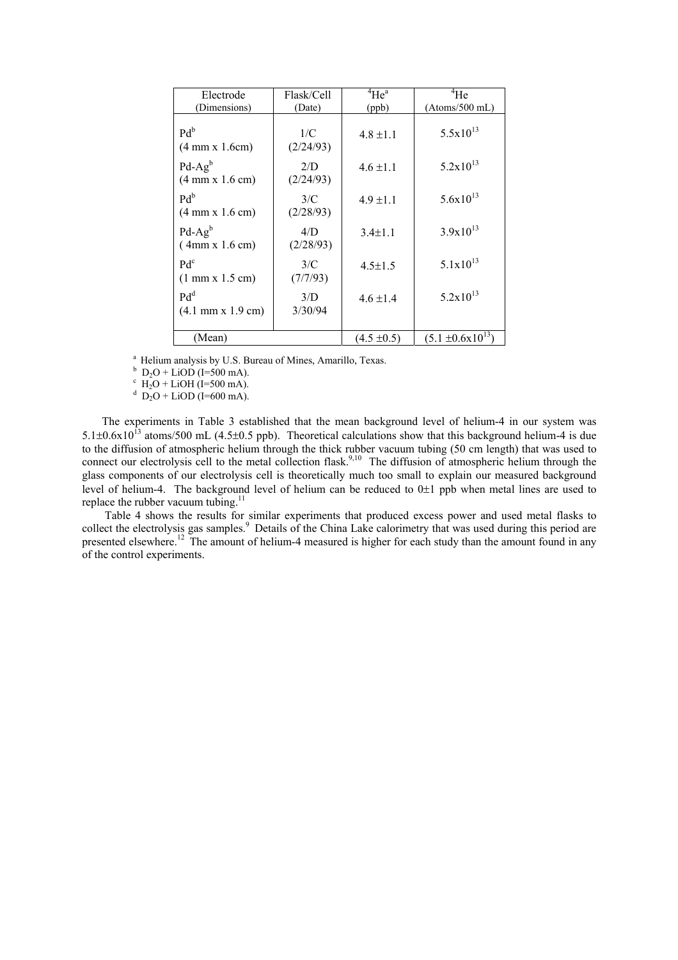| Electrode                                             | Flask/Cell       | $^{4}$ He <sup>a</sup> | $\rm ^4He$                     |
|-------------------------------------------------------|------------------|------------------------|--------------------------------|
| (Dimensions)                                          | (Date)           | (ppb)                  | $(Atoms/500$ mL)               |
| $Pd^b$<br>$(4 \text{ mm x } 1.6 \text{ cm})$          | 1/C<br>(2/24/93) | $4.8 \pm 1.1$          | $5.5x10^{13}$                  |
| $Pd-Ag^b$<br>$(4 \text{ mm x } 1.6 \text{ cm})$       | 2/D<br>(2/24/93) | $4.6 \pm 1.1$          | $5.2 \times 10^{13}$           |
| Pd <sub>p</sub><br>$(4 \text{ mm x } 1.6 \text{ cm})$ | 3/C<br>(2/28/93) | $4.9 \pm 1.1$          | $5.6x10^{13}$                  |
| $Pd-Ag^b$<br>(4mm x 1.6 cm)                           | 4/D<br>(2/28/93) | $3.4 \pm 1.1$          | $3.9x10^{13}$                  |
| $Pd^c$<br>$(1 \text{ mm x } 1.5 \text{ cm})$          | 3/C<br>(7/7/93)  | $4.5 \pm 1.5$          | $5.1x10^{13}$                  |
| $Pd^d$<br>$(4.1 \text{ mm} \times 1.9 \text{ cm})$    | 3/D<br>3/30/94   | $4.6 \pm 1.4$          | $5.2x10^{13}$                  |
| (Mean)                                                |                  | $(4.5 \pm 0.5)$        | $(5.1 \pm 0.6 \times 10^{13})$ |

<sup>a</sup> Helium analysis by U.S. Bureau of Mines, Amarillo, Texas.

 $D_2O + LiOD$  (I=500 mA).

 $\vec{H}_2O + \text{LiOH}$  (I=500 mA).

 $D_2O + LiOD$  (I=600 mA).

The experiments in Table 3 established that the mean background level of helium-4 in our system was  $5.1\pm0.6x10^{13}$  atoms/500 mL (4.5 $\pm0.5$  ppb). Theoretical calculations show that this background helium-4 is due to the diffusion of atmospheric helium through the thick rubber vacuum tubing (50 cm length) that was used to connect our electrolysis cell to the metal collection flask.<sup>9,10</sup> The diffusion of atmospheric helium through the glass components of our electrolysis cell is theoretically much too small to explain our measured background level of helium-4. The background level of helium can be reduced to 0±1 ppb when metal lines are used to replace the rubber vacuum tubing.<sup>11</sup>

Table 4 shows the results for similar experiments that produced excess power and used metal flasks to collect the electrolysis gas samples.<sup>9</sup> Details of the China Lake calorimetry that was used during this period are presented elsewhere.<sup>12</sup> The amount of helium-4 measured is higher for each study than the amount found in any of the control experiments.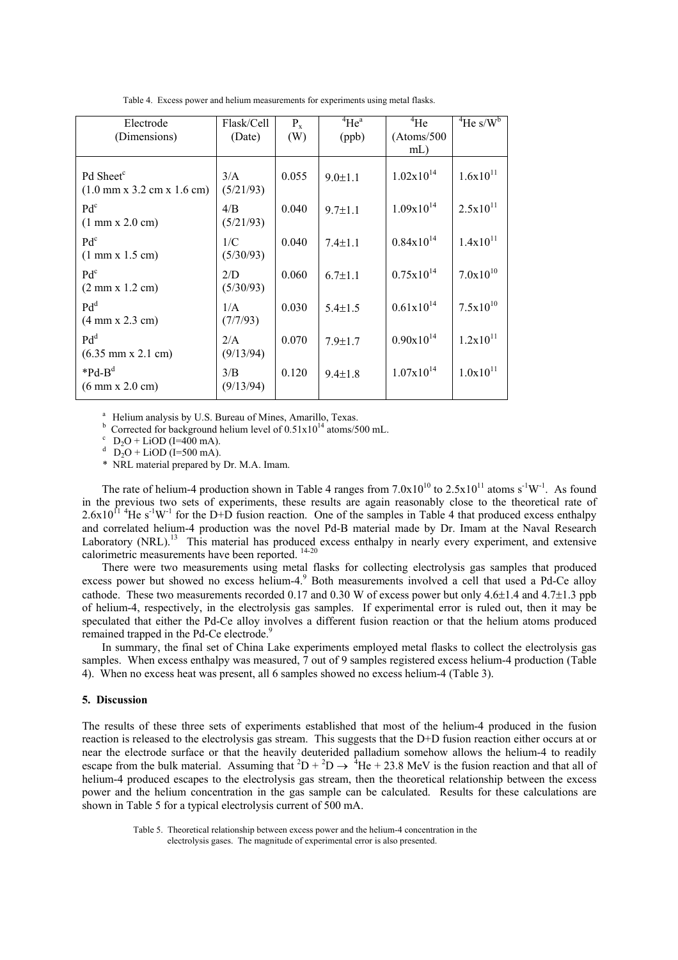| Electrode<br>(Dimensions)                                                               | Flask/Cell<br>(Date) | $P_{x}$<br>(W) | $^{4}He^{a}$<br>(ppb) | $^{4}$ He<br>(Atoms/500<br>$mL$ ) | $\mathrm{^{4}He}$ s/W <sup>b</sup> |
|-----------------------------------------------------------------------------------------|----------------------|----------------|-----------------------|-----------------------------------|------------------------------------|
| Pd Sheet <sup>c</sup><br>$(1.0 \text{ mm} \times 3.2 \text{ cm} \times 1.6 \text{ cm})$ | 3/A<br>(5/21/93)     | 0.055          | $9.0 \pm 1.1$         | $1.02x10^{14}$                    | $1.6x10^{11}$                      |
| $Pd^c$<br>$(1 \text{ mm } x \, 2.0 \text{ cm})$                                         | 4/B<br>(5/21/93)     | 0.040          | $9.7 \pm 1.1$         | $1.09x10^{14}$                    | $2.5x10^{11}$                      |
| $Pd^c$<br>$(1 \text{ mm x } 1.5 \text{ cm})$                                            | 1/C<br>(5/30/93)     | 0.040          | $7.4 \pm 1.1$         | $0.84x10^{14}$                    | $1.4x10^{11}$                      |
| $Pd^c$<br>$(2 \text{ mm x } 1.2 \text{ cm})$                                            | 2/D<br>(5/30/93)     | 0.060          | $6.7 \pm 1.1$         | $0.75x10^{14}$                    | $7.0x10^{10}$                      |
| $Pd^d$<br>$(4 \text{ mm x } 2.3 \text{ cm})$                                            | 1/A<br>(7/7/93)      | 0.030          | $5.4 \pm 1.5$         | $0.61x10^{14}$                    | $7.5x10^{10}$                      |
| $Pd^d$<br>$(6.35$ mm x 2.1 cm)                                                          | 2/A<br>(9/13/94)     | 0.070          | $7.9 \pm 1.7$         | $0.90x10^{14}$                    | $1.2x10^{11}$                      |
| $*Pd-B^d$<br>$(6 \text{ mm} \times 2.0 \text{ cm})$                                     | 3/B<br>(9/13/94)     | 0.120          | $9.4 \pm 1.8$         | $1.07x10^{14}$                    | $1.0x10^{11}$                      |

Table 4. Excess power and helium measurements for experiments using metal flasks.

<sup>a</sup> Helium analysis by U.S. Bureau of Mines, Amarillo, Texas.

<sup>b</sup> Corrected for background helium level of  $0.51 \times 10^{14}$  atoms/500 mL.

 $^{\rm c}$  D<sub>2</sub>O + LiOD (I=400 mA).

 $D_2O + LiOD (I=500 mA).$ 

\* NRL material prepared by Dr. M.A. Imam.

The rate of helium-4 production shown in Table 4 ranges from  $7.0x10^{10}$  to  $2.5x10^{11}$  atoms  $s^{-1}W^{-1}$ . As found in the previous two sets of experiments, these results are again reasonably close to the theoretical rate of  $2.6x10^{11}$  <sup>4</sup>He s<sup>-1</sup>W<sup>-1</sup> for the D+D fusion reaction. One of the samples in Table 4 that produced excess enthalpy and correlated helium-4 production was the novel Pd-B material made by Dr. Imam at the Naval Research Laboratory  $(NRL)$ .<sup>13</sup> This material has produced excess enthalpy in nearly every experiment, and extensive calorimetric measurements have been reported. 14-20

 There were two measurements using metal flasks for collecting electrolysis gas samples that produced excess power but showed no excess helium-4.<sup>9</sup> Both measurements involved a cell that used a Pd-Ce alloy cathode. These two measurements recorded 0.17 and 0.30 W of excess power but only 4.6±1.4 and 4.7±1.3 ppb of helium-4, respectively, in the electrolysis gas samples. If experimental error is ruled out, then it may be speculated that either the Pd-Ce alloy involves a different fusion reaction or that the helium atoms produced remained trapped in the Pd-Ce electrode.<sup>9</sup>

 In summary, the final set of China Lake experiments employed metal flasks to collect the electrolysis gas samples. When excess enthalpy was measured, 7 out of 9 samples registered excess helium-4 production (Table 4). When no excess heat was present, all 6 samples showed no excess helium-4 (Table 3).

## **5. Discussion**

The results of these three sets of experiments established that most of the helium-4 produced in the fusion reaction is released to the electrolysis gas stream. This suggests that the D+D fusion reaction either occurs at or near the electrode surface or that the heavily deuterided palladium somehow allows the helium-4 to readily escape from the bulk material. Assuming that  ${}^{2}D + {}^{2}D \rightarrow {}^{4}He + 23.8$  MeV is the fusion reaction and that all of helium-4 produced escapes to the electrolysis gas stream, then the theoretical relationship between the excess power and the helium concentration in the gas sample can be calculated. Results for these calculations are shown in Table 5 for a typical electrolysis current of 500 mA.

Table 5. Theoretical relationship between excess power and the helium-4 concentration in the electrolysis gases. The magnitude of experimental error is also presented.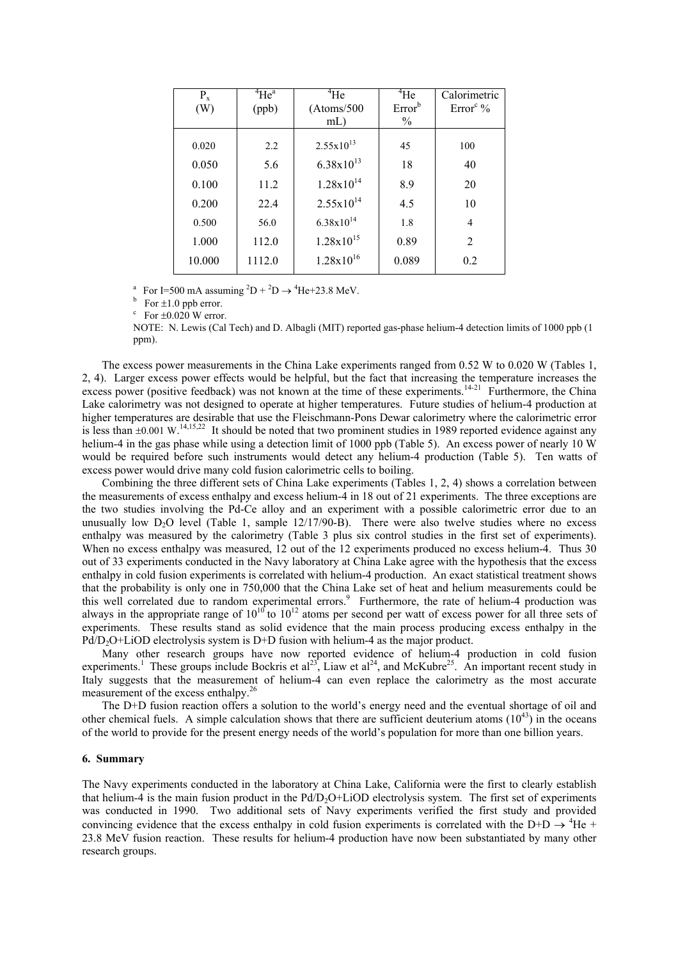| $P_{x}$ | $\rm ^4He^a$ | $\rm ^4He$            | $\rm ^4He$         | Calorimetric         |
|---------|--------------|-----------------------|--------------------|----------------------|
| (W)     | (ppb)        | (Atoms/500            | Error <sup>b</sup> | Error <sup>c</sup> % |
|         |              | $mL$ )                | $\%$               |                      |
|         |              |                       |                    |                      |
| 0.020   | 2.2          | $2.55x10^{13}$        | 45                 | 100                  |
| 0.050   | 5.6          | $6.38 \times 10^{13}$ | 18                 | 40                   |
| 0.100   | 11.2         | $1.28x10^{14}$        | 8.9                | 20                   |
| 0.200   | 22.4         | $2.55 \times 10^{14}$ | 4.5                | 10                   |
| 0.500   | 56.0         | $6.38x10^{14}$        | 1.8                | 4                    |
| 1.000   | 112.0        | $1.28 \times 10^{15}$ | 0.89               | 2                    |
| 10.000  | 1112.0       | $1.28x10^{16}$        | 0.089              | 0.2                  |

<sup>a</sup> For I=500 mA assuming <sup>2</sup>D + <sup>2</sup>D  $\rightarrow$  <sup>4</sup>He+23.8 MeV.

b For  $\pm 1.0$  ppb error.

 $\cdot$  For  $\pm 0.020$  W error.

NOTE: N. Lewis (Cal Tech) and D. Albagli (MIT) reported gas-phase helium-4 detection limits of 1000 ppb (1 ppm).

 The excess power measurements in the China Lake experiments ranged from 0.52 W to 0.020 W (Tables 1, 2, 4). Larger excess power effects would be helpful, but the fact that increasing the temperature increases the excess power (positive feedback) was not known at the time of these experiments.<sup>14-21</sup> Furthermore, the China Lake calorimetry was not designed to operate at higher temperatures. Future studies of helium-4 production at higher temperatures are desirable that use the Fleischmann-Pons Dewar calorimetry where the calorimetric error is less than  $\pm 0.001$  W.<sup>14,15,22</sup> It should be noted that two prominent studies in 1989 reported evidence against any helium-4 in the gas phase while using a detection limit of 1000 ppb (Table 5). An excess power of nearly 10 W would be required before such instruments would detect any helium-4 production (Table 5). Ten watts of excess power would drive many cold fusion calorimetric cells to boiling.

Combining the three different sets of China Lake experiments (Tables 1, 2, 4) shows a correlation between the measurements of excess enthalpy and excess helium-4 in 18 out of 21 experiments. The three exceptions are the two studies involving the Pd-Ce alloy and an experiment with a possible calorimetric error due to an unusually low  $D_2O$  level (Table 1, sample  $12/17/90-B$ ). There were also twelve studies where no excess enthalpy was measured by the calorimetry (Table 3 plus six control studies in the first set of experiments). When no excess enthalpy was measured, 12 out of the 12 experiments produced no excess helium-4. Thus 30 out of 33 experiments conducted in the Navy laboratory at China Lake agree with the hypothesis that the excess enthalpy in cold fusion experiments is correlated with helium-4 production. An exact statistical treatment shows that the probability is only one in 750,000 that the China Lake set of heat and helium measurements could be this well correlated due to random experimental errors.<sup>9</sup> Furthermore, the rate of helium-4 production was always in the appropriate range of  $10^{10}$  to  $10^{12}$  atoms per second per watt of excess power for all three sets of experiments. These results stand as solid evidence that the main process producing excess enthalpy in the  $Pd/D<sub>2</sub>O+LiOD$  electrolysis system is D+D fusion with helium-4 as the major product.

Many other research groups have now reported evidence of helium-4 production in cold fusion experiments.<sup>1</sup> These groups include Bockris et al<sup>23</sup>, Liaw et al<sup>24</sup>, and McKubre<sup>25</sup>. An important recent study in Italy suggests that the measurement of helium-4 can even replace the calorimetry as the most accurate measurement of the excess enthalpy.<sup>26</sup>

The D+D fusion reaction offers a solution to the world's energy need and the eventual shortage of oil and other chemical fuels. A simple calculation shows that there are sufficient deuterium atoms  $(10^{43})$  in the oceans of the world to provide for the present energy needs of the world's population for more than one billion years.

### **6. Summary**

The Navy experiments conducted in the laboratory at China Lake, California were the first to clearly establish that helium-4 is the main fusion product in the  $Pd/D<sub>2</sub>O+LiOD$  electrolysis system. The first set of experiments was conducted in 1990. Two additional sets of Navy experiments verified the first study and provided convincing evidence that the excess enthalpy in cold fusion experiments is correlated with the D+D  $\rightarrow$  <sup>4</sup>He + 23.8 MeV fusion reaction. These results for helium-4 production have now been substantiated by many other research groups.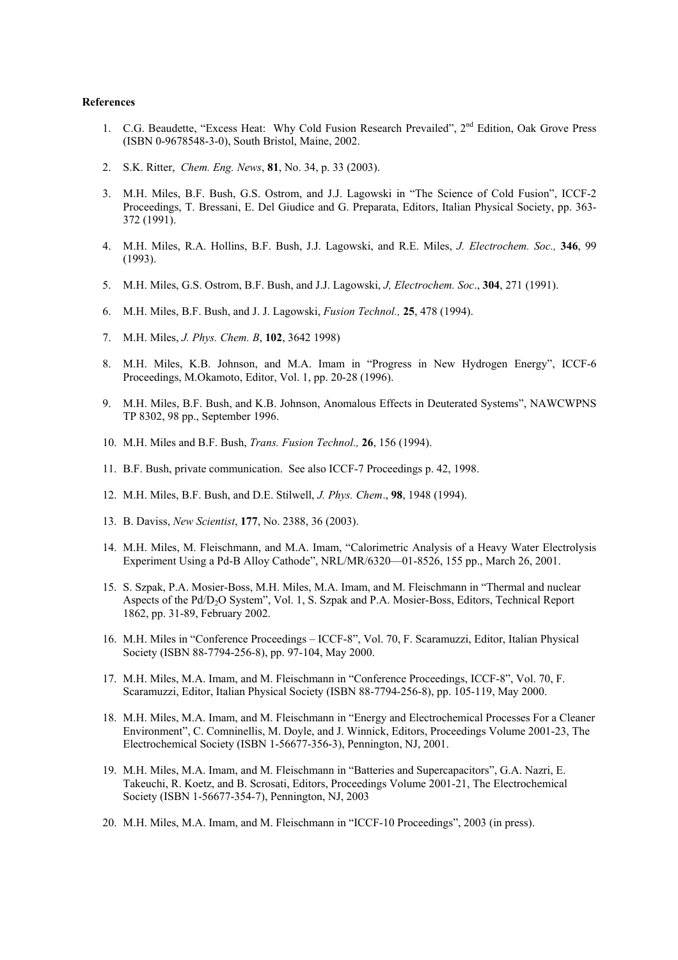#### **References**

- 1. C.G. Beaudette, "Excess Heat: Why Cold Fusion Research Prevailed", 2<sup>nd</sup> Edition, Oak Grove Press (ISBN 0-9678548-3-0), South Bristol, Maine, 2002.
- 2. S.K. Ritter, *Chem. Eng. News*, **81**, No. 34, p. 33 (2003).
- 3. M.H. Miles, B.F. Bush, G.S. Ostrom, and J.J. Lagowski in "The Science of Cold Fusion", ICCF-2 Proceedings, T. Bressani, E. Del Giudice and G. Preparata, Editors, Italian Physical Society, pp. 363- 372 (1991).
- 4. M.H. Miles, R.A. Hollins, B.F. Bush, J.J. Lagowski, and R.E. Miles, *J. Electrochem. Soc.,* **346**, 99 (1993).
- 5. M.H. Miles, G.S. Ostrom, B.F. Bush, and J.J. Lagowski, *J, Electrochem. Soc*., **304**, 271 (1991).
- 6. M.H. Miles, B.F. Bush, and J. J. Lagowski, *Fusion Technol.,* **25**, 478 (1994).
- 7. M.H. Miles, *J. Phys. Chem. B*, **102**, 3642 1998)
- 8. M.H. Miles, K.B. Johnson, and M.A. Imam in "Progress in New Hydrogen Energy", ICCF-6 Proceedings, M.Okamoto, Editor, Vol. 1, pp. 20-28 (1996).
- 9. M.H. Miles, B.F. Bush, and K.B. Johnson, Anomalous Effects in Deuterated Systems", NAWCWPNS TP 8302, 98 pp., September 1996.
- 10. M.H. Miles and B.F. Bush, *Trans. Fusion Technol.,* **26**, 156 (1994).
- 11. B.F. Bush, private communication. See also ICCF-7 Proceedings p. 42, 1998.
- 12. M.H. Miles, B.F. Bush, and D.E. Stilwell, *J. Phys. Chem*., **98**, 1948 (1994).
- 13. B. Daviss, *New Scientist*, **177**, No. 2388, 36 (2003).
- 14. M.H. Miles, M. Fleischmann, and M.A. Imam, "Calorimetric Analysis of a Heavy Water Electrolysis Experiment Using a Pd-B Alloy Cathode", NRL/MR/6320—01-8526, 155 pp., March 26, 2001.
- 15. S. Szpak, P.A. Mosier-Boss, M.H. Miles, M.A. Imam, and M. Fleischmann in "Thermal and nuclear Aspects of the Pd/D2O System", Vol. 1, S. Szpak and P.A. Mosier-Boss, Editors, Technical Report 1862, pp. 31-89, February 2002.
- 16. M.H. Miles in "Conference Proceedings ICCF-8", Vol. 70, F. Scaramuzzi, Editor, Italian Physical Society (ISBN 88-7794-256-8), pp. 97-104, May 2000.
- 17. M.H. Miles, M.A. Imam, and M. Fleischmann in "Conference Proceedings, ICCF-8", Vol. 70, F. Scaramuzzi, Editor, Italian Physical Society (ISBN 88-7794-256-8), pp. 105-119, May 2000.
- 18. M.H. Miles, M.A. Imam, and M. Fleischmann in "Energy and Electrochemical Processes For a Cleaner Environment", C. Comninellis, M. Doyle, and J. Winnick, Editors, Proceedings Volume 2001-23, The Electrochemical Society (ISBN 1-56677-356-3), Pennington, NJ, 2001.
- 19. M.H. Miles, M.A. Imam, and M. Fleischmann in "Batteries and Supercapacitors", G.A. Nazri, E. Takeuchi, R. Koetz, and B. Scrosati, Editors, Proceedings Volume 2001-21, The Electrochemical Society (ISBN 1-56677-354-7), Pennington, NJ, 2003
- 20. M.H. Miles, M.A. Imam, and M. Fleischmann in "ICCF-10 Proceedings", 2003 (in press).